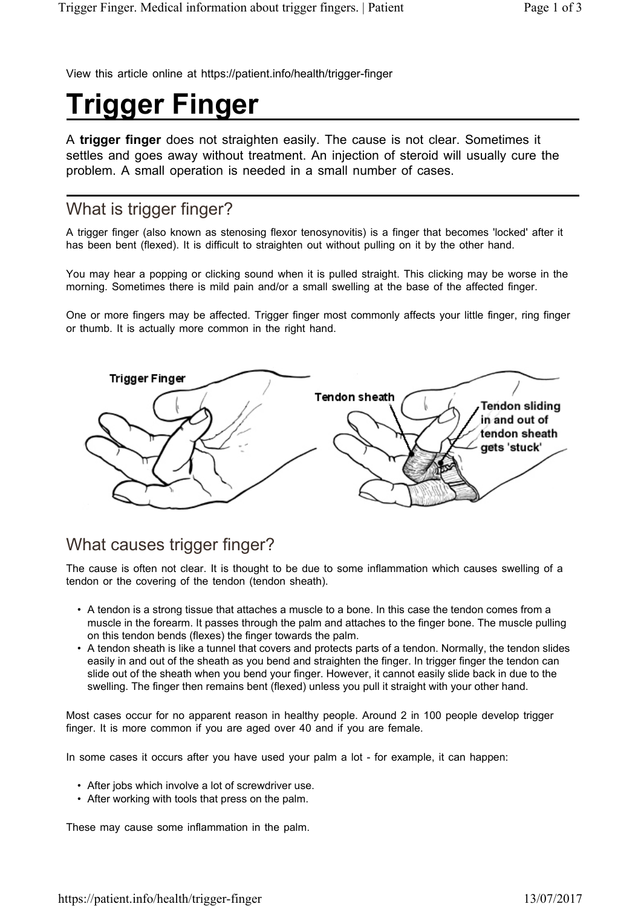View this article online at https://patient.info/health/trigger-finger

# **Trigger Finger**

A **trigger finger** does not straighten easily. The cause is not clear. Sometimes it settles and goes away without treatment. An injection of steroid will usually cure the problem. A small operation is needed in a small number of cases.

# What is trigger finger?

A trigger finger (also known as stenosing flexor tenosynovitis) is a finger that becomes 'locked' after it has been bent (flexed). It is difficult to straighten out without pulling on it by the other hand.

You may hear a popping or clicking sound when it is pulled straight. This clicking may be worse in the morning. Sometimes there is mild pain and/or a small swelling at the base of the affected finger.

One or more fingers may be affected. Trigger finger most commonly affects your little finger, ring finger or thumb. It is actually more common in the right hand.



## What causes trigger finger?

The cause is often not clear. It is thought to be due to some inflammation which causes swelling of a tendon or the covering of the tendon (tendon sheath).

- A tendon is a strong tissue that attaches a muscle to a bone. In this case the tendon comes from a muscle in the forearm. It passes through the palm and attaches to the finger bone. The muscle pulling on this tendon bends (flexes) the finger towards the palm.
- A tendon sheath is like a tunnel that covers and protects parts of a tendon. Normally, the tendon slides easily in and out of the sheath as you bend and straighten the finger. In trigger finger the tendon can slide out of the sheath when you bend your finger. However, it cannot easily slide back in due to the swelling. The finger then remains bent (flexed) unless you pull it straight with your other hand.

Most cases occur for no apparent reason in healthy people. Around 2 in 100 people develop trigger finger. It is more common if you are aged over 40 and if you are female.

In some cases it occurs after you have used your palm a lot - for example, it can happen:

- After jobs which involve a lot of screwdriver use.
- After working with tools that press on the palm.

These may cause some inflammation in the palm.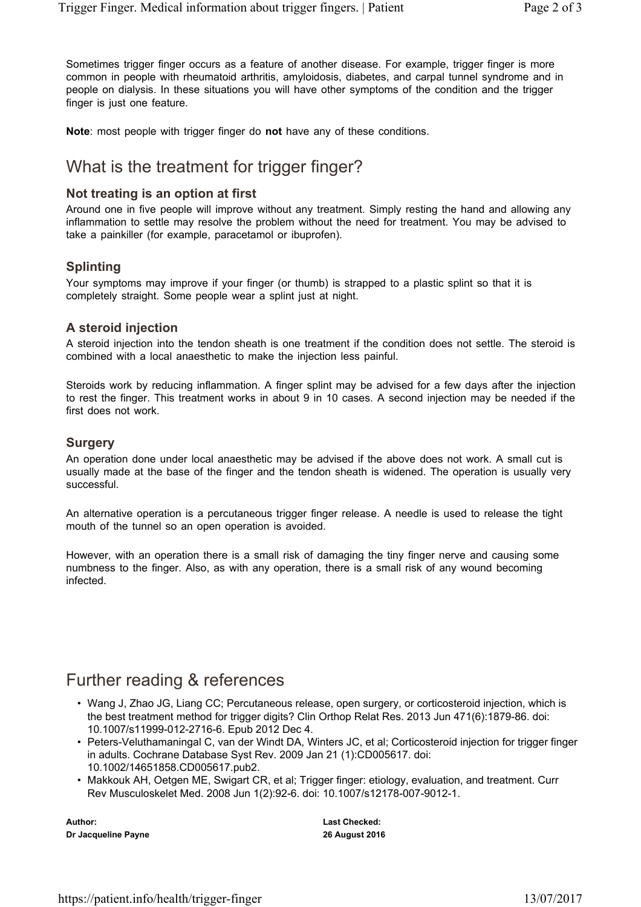Sometimes trigger finger occurs as a feature of another disease. For example, trigger finger is more common in people with rheumatoid arthritis, amyloidosis, diabetes, and carpal tunnel syndrome and in people on dialysis. In these situations you will have other symptoms of the condition and the trigger finger is just one feature.

**Note**: most people with trigger finger do **not** have any of these conditions.

# What is the treatment for trigger finger?

#### **Not treating is an option at first**

Around one in five people will improve without any treatment. Simply resting the hand and allowing any inflammation to settle may resolve the problem without the need for treatment. You may be advised to take a painkiller (for example, paracetamol or ibuprofen).

#### **Splinting**

Your symptoms may improve if your finger (or thumb) is strapped to a plastic splint so that it is completely straight. Some people wear a splint just at night.

#### **A steroid injection**

A steroid injection into the tendon sheath is one treatment if the condition does not settle. The steroid is combined with a local anaesthetic to make the injection less painful.

Steroids work by reducing inflammation. A finger splint may be advised for a few days after the injection to rest the finger. This treatment works in about 9 in 10 cases. A second injection may be needed if the first does not work.

#### **Surgery**

An operation done under local anaesthetic may be advised if the above does not work. A small cut is usually made at the base of the finger and the tendon sheath is widened. The operation is usually very successful.

An alternative operation is a percutaneous trigger finger release. A needle is used to release the tight mouth of the tunnel so an open operation is avoided.

However, with an operation there is a small risk of damaging the tiny finger nerve and causing some numbness to the finger. Also, as with any operation, there is a small risk of any wound becoming infected.

## Further reading & references

- Wang J, Zhao JG, Liang CC; Percutaneous release, open surgery, or corticosteroid injection, which is the best treatment method for trigger digits? Clin Orthop Relat Res. 2013 Jun 471(6):1879-86. doi: 10.1007/s11999-012-2716-6. Epub 2012 Dec 4.
- Peters-Veluthamaningal C, van der Windt DA, Winters JC, et al; Corticosteroid injection for trigger finger in adults. Cochrane Database Syst Rev. 2009 Jan 21 (1):CD005617. doi: 10.1002/14651858.CD005617.pub2.
- Makkouk AH, Oetgen ME, Swigart CR, et al; Trigger finger: etiology, evaluation, and treatment. Curr Rev Musculoskelet Med. 2008 Jun 1(2):92-6. doi: 10.1007/s12178-007-9012-1.

**Author: Dr Jacqueline Payne** **Last Checked: 26 August 2016**